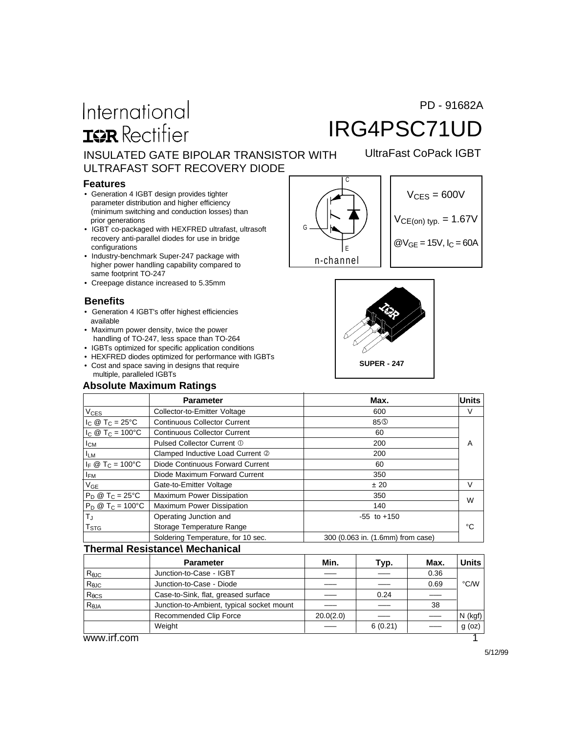#### PD - 91682A

# International **IGR** Rectifier

# IRG4PSC71UD

UltraFast CoPack IGBT

INSULATED GATE BIPOLAR TRANSISTOR WITH ULTRAFAST SOFT RECOVERY DIODE

#### **Features**

- Generation 4 IGBT design provides tighter parameter distribution and higher efficiency (minimum switching and conduction losses) than prior generations
- IGBT co-packaged with HEXFRED ultrafast, ultrasoft recovery anti-parallel diodes for use in bridge configurations
- Industry-benchmark Super-247 package with higher power handling capability compared to same footprint TO-247
- Creepage distance increased to 5.35mm

#### **Benefits**

- Generation 4 IGBT's offer highest efficiencies available
- Maximum power density, twice the power handling of TO-247, less space than TO-264
- IGBTs optimized for specific application conditions
- HEXFRED diodes optimized for performance with IGBTs
- Cost and space saving in designs that require multiple, paralleled IGBTs

#### **Absolute Maximum Ratings**







|                                  | <b>Parameter</b>                    | Max.                              | <b>Units</b> |
|----------------------------------|-------------------------------------|-----------------------------------|--------------|
| <b>V<sub>CES</sub></b>           | Collector-to-Emitter Voltage        | 600                               | V            |
| $I_C @ T_C = 25^{\circ}C$        | <b>Continuous Collector Current</b> | 85 <sup>O</sup>                   |              |
| $I_C @ T_C = 100°C$              | <b>Continuous Collector Current</b> | 60                                |              |
| Iсм                              | Pulsed Collector Current 1          | 200                               | A            |
| <b>ILM</b>                       | Clamped Inductive Load Current 2    | 200                               |              |
| $I_F \otimes T_C = 100^{\circ}C$ | Diode Continuous Forward Current    | 60                                |              |
| <b>IFM</b>                       | Diode Maximum Forward Current       | 350                               |              |
| $V_{GE}$                         | Gate-to-Emitter Voltage             | ± 20                              | v            |
| $P_D @ T_C = 25^{\circ}C$        | Maximum Power Dissipation           | 350                               | W            |
| $P_D @ T_C = 100^{\circ}C$       | Maximum Power Dissipation           | 140                               |              |
| $T_J$                            | Operating Junction and              | $-55$ to $+150$                   |              |
| $\mathsf{T}_{\text{STG}}$        | Storage Temperature Range           |                                   | °С           |
|                                  | Soldering Temperature, for 10 sec.  | 300 (0.063 in. (1.6mm) from case) |              |

#### **Thermal Resistance\ Mechanical**

|                 | <b>Parameter</b>                          | Min.      | Typ.    | Max. | Units              |
|-----------------|-------------------------------------------|-----------|---------|------|--------------------|
| $R_{\theta$ JC  | Junction-to-Case - IGBT                   |           |         | 0.36 |                    |
| $R_{\theta$ JC  | Junction-to-Case - Diode                  |           |         | 0.69 | $\rm ^{\circ}$ C/W |
| $R_{\theta CS}$ | Case-to-Sink, flat, greased surface       |           | 0.24    |      |                    |
| $R_{\theta$ JA  | Junction-to-Ambient, typical socket mount |           |         | 38   |                    |
|                 | Recommended Clip Force                    | 20.0(2.0) |         |      | $N$ (kgf)          |
|                 | Weight                                    |           | 6(0.21) |      | $g$ (oz) $ $       |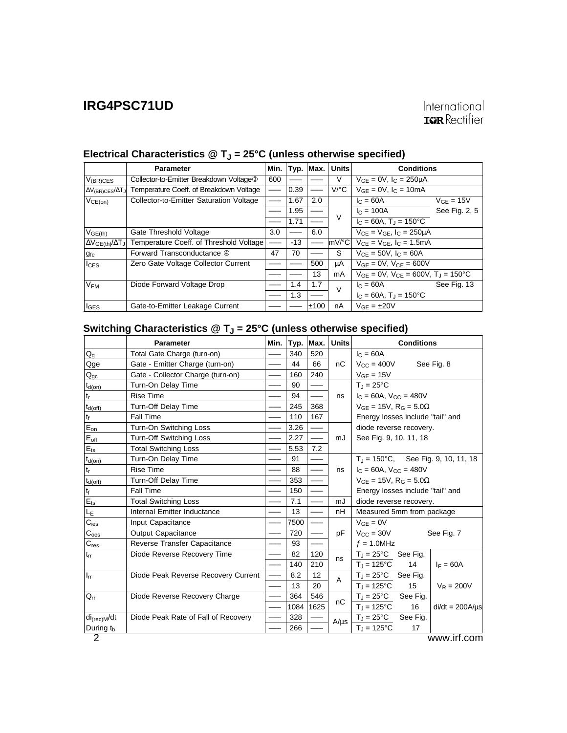|                                 | <b>Parameter</b>                                    | Min. |       | Typ. Max. | <b>Units</b>         | <b>Conditions</b>                                        |                |
|---------------------------------|-----------------------------------------------------|------|-------|-----------|----------------------|----------------------------------------------------------|----------------|
| $V_{(BR)CES}$                   | Collector-to-Emitter Breakdown Voltage <sup>3</sup> | 600  |       |           | V                    | $V_{GF} = 0V$ , $I_C = 250 \mu A$                        |                |
| $\Delta V_{(BR)CES}/\Delta T_J$ | Temperature Coeff. of Breakdown Voltage             |      | 0.39  |           | $V$ <sup>o</sup> $C$ | $V_{GF} = 0V$ , $I_C = 10mA$                             |                |
| VCE(on)                         | Collector-to-Emitter Saturation Voltage             |      | 1.67  | 2.0       |                      | $c = 60A$                                                | $V_{GF} = 15V$ |
|                                 |                                                     |      | 1.95  |           |                      | $I_C = 100A$                                             | See Fig. 2, 5  |
|                                 |                                                     |      | 1.71  |           | $\vee$               | $I_C = 60A$ , $T_A = 150^{\circ}C$                       |                |
| $V_{GE(th)}$                    | Gate Threshold Voltage                              | 3.0  |       | 6.0       |                      | $V_{CF} = V_{GF}$ , $I_C = 250 \mu A$                    |                |
| $\Delta V_{GE(th)}/\Delta T_J$  | Temperature Coeff. of Threshold Voltage             |      | $-13$ |           | $ mV ^{\circ}C$      | $V_{CE} = V_{GE}$ , $I_C = 1.5mA$                        |                |
| <b>g</b> fe                     | Forward Transconductance 4                          | 47   | 70    |           | S                    | $V_{CF} = 50V$ , $I_C = 60A$                             |                |
| $I_{CES}$                       | Zero Gate Voltage Collector Current                 |      |       | 500       | μA                   | $V_{GE} = 0V$ , $V_{CE} = 600V$                          |                |
|                                 |                                                     |      |       | 13        | mA                   | $V_{GF} = 0V$ , $V_{CF} = 600V$ , $T_{J} = 150^{\circ}C$ |                |
| V <sub>FM</sub>                 | Diode Forward Voltage Drop                          |      | 1.4   | 1.7       | $\vee$               | $IC = 60A$                                               | See Fig. 13    |
|                                 |                                                     |      | 1.3   |           |                      | $I_C = 60A$ , $T_A = 150^{\circ}C$                       |                |
| $I_{GES}$                       | Gate-to-Emitter Leakage Current                     |      |       | ±100      | nA                   | $V_{GF} = \pm 20V$                                       |                |

## Electrical Characteristics @ T<sub>J</sub> = 25°C (unless otherwise specified)

## Switching Characteristics @ T<sub>J</sub> = 25°C (unless otherwise specified)

|                             | Parameter                           | Min. |      | Typ. Max. | <b>Units</b> | <b>Conditions</b>                             |          |                                               |  |
|-----------------------------|-------------------------------------|------|------|-----------|--------------|-----------------------------------------------|----------|-----------------------------------------------|--|
| $Q_{g}$                     | Total Gate Charge (turn-on)         |      | 340  | 520       |              | $I_C = 60A$                                   |          |                                               |  |
| Qge                         | Gate - Emitter Charge (turn-on)     |      | 44   | 66        | nC           | $V_{\rm CC} = 400V$                           |          | See Fig. 8                                    |  |
| $Q_{qc}$                    | Gate - Collector Charge (turn-on)   |      | 160  | 240       |              | $V_{GE}$ = 15V                                |          |                                               |  |
| $t_{d(on)}$                 | Turn-On Delay Time                  |      | 90   |           |              | $T_J = 25$ °C                                 |          |                                               |  |
| $\mathfrak{t}_{\mathsf{r}}$ | <b>Rise Time</b>                    |      | 94   |           | ns           | $I_C = 60A$ , $V_{CC} = 480V$                 |          |                                               |  |
| $t_{d(off)}$                | Turn-Off Delay Time                 |      | 245  | 368       |              | $V_{GE}$ = 15V, R <sub>G</sub> = 5.0 $\Omega$ |          |                                               |  |
| tf                          | Fall Time                           |      | 110  | 167       |              | Energy losses include "tail" and              |          |                                               |  |
| $E_{on}$                    | Turn-On Switching Loss              |      | 3.26 |           |              | diode reverse recovery.                       |          |                                               |  |
| $E_{off}$                   | <b>Turn-Off Switching Loss</b>      |      | 2.27 |           | mJ           | See Fig. 9, 10, 11, 18                        |          |                                               |  |
| $E_{ts}$                    | <b>Total Switching Loss</b>         |      | 5.53 | 7.2       |              |                                               |          |                                               |  |
| $t_{d(on)}$                 | Turn-On Delay Time                  |      | 91   |           |              |                                               |          | $T_J = 150^{\circ}$ C, See Fig. 9, 10, 11, 18 |  |
| $\mathfrak{t}_{\mathsf{r}}$ | <b>Rise Time</b>                    |      | 88   |           | ns           | $I_C = 60A$ , $V_{CC} = 480V$                 |          |                                               |  |
| $t_{d(off)}$                | Turn-Off Delay Time                 |      | 353  |           |              | $V_{GE}$ = 15V, R <sub>G</sub> = 5.0 $\Omega$ |          |                                               |  |
| $t_f$                       | Fall Time                           |      | 150  |           |              | Energy losses include "tail" and              |          |                                               |  |
| $E_{ts}$                    | <b>Total Switching Loss</b>         |      | 7.1  |           | mJ           | diode reverse recovery.                       |          |                                               |  |
| Lε                          | Internal Emitter Inductance         |      | 13   |           | nH           | Measured 5mm from package                     |          |                                               |  |
| $C_{\text{ies}}$            | Input Capacitance                   |      | 7500 |           |              | $V_{GE} = 0V$                                 |          |                                               |  |
| $C_{\underline{oes}}$       | <b>Output Capacitance</b>           |      | 720  |           | pF           | $V_{\rm CC} = 30V$                            |          | See Fig. 7                                    |  |
| $C_{\mathsf{res}}$          | Reverse Transfer Capacitance        |      | 93   |           |              | $f = 1.0$ MHz                                 |          |                                               |  |
| $t_{rr}$                    | Diode Reverse Recovery Time         |      | 82   | 120       | ns           | $T_J = 25^{\circ}C$ See Fig.                  |          |                                               |  |
|                             |                                     |      | 140  | 210       |              | $T_{J} = 125^{\circ}C$                        | 14       | $I_F = 60A$                                   |  |
| $I_{rr}$                    | Diode Peak Reverse Recovery Current |      | 8.2  | 12        | A            | $T_J = 25^{\circ}C$                           | See Fig. |                                               |  |
|                             |                                     |      | 13   | 20        |              | $T_{\rm J} = 125^{\circ}C$                    | 15       | $V_R = 200V$                                  |  |
| $Q_{rr}$                    | Diode Reverse Recovery Charge       |      | 364  | 546       |              | $T_J = 25^{\circ}C$                           | See Fig. |                                               |  |
|                             |                                     |      | 1084 | 1625      | nC           | $T_J = 125$ °C                                | 16       | $di/dt = 200A/\mu s$                          |  |
| $di_{(rec)M}/dt$            | Diode Peak Rate of Fall of Recovery |      | 328  |           | $A/\mu s$    | $T_J = 25^{\circ}C$                           | See Fig. |                                               |  |
| During t <sub>b</sub>       |                                     |      | 266  |           |              | $T_{\text{J}}$ = 125°C                        | 17       |                                               |  |
| 2                           |                                     |      |      |           |              |                                               |          | www.irf.com                                   |  |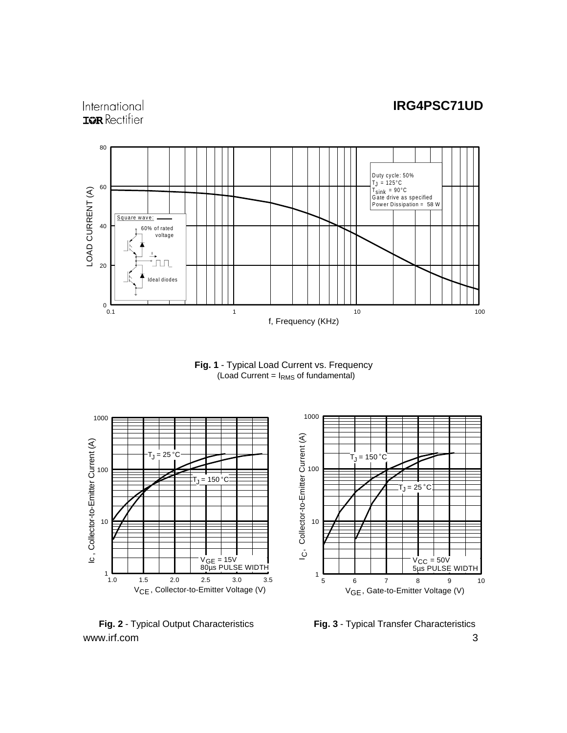#### International **IOR** Rectifier



**Fig. 1** - Typical Load Current vs. Frequency  $($ Load Current =  $I<sub>RMS</sub>$  of fundamental)



www.irf.com 3 **Fig. 2** - Typical Output Characteristics **Fig. 3** - Typical Transfer Characteristics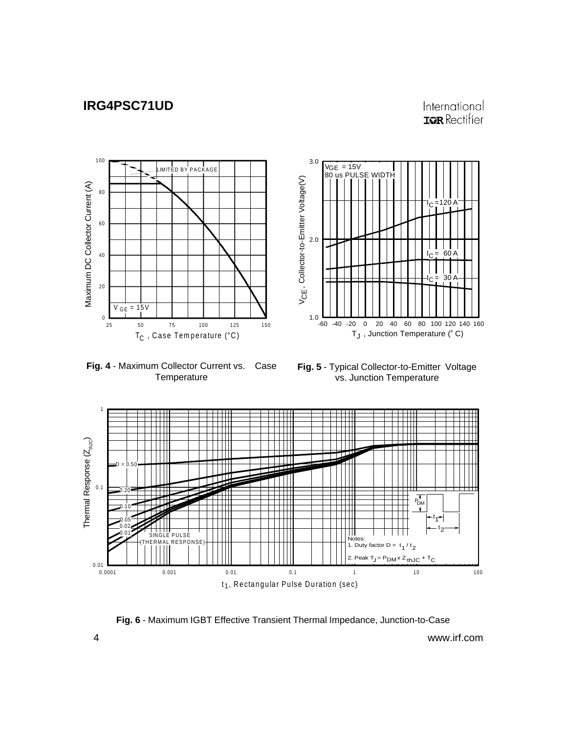#### International **IOR** Rectifier

l<sub>C</sub> =120 A

60 A

 $I_C = 30 A$ 



**Fig. 4** - Maximum Collector Current vs. Case **Temperature** 

**Fig. 5** - Typical Collector-to-Emitter Voltage vs. Junction Temperature

T $_{\mathsf{J}}$  , Junction Temperature (° C)



**Fig. 6** - Maximum IGBT Effective Transient Thermal Impedance, Junction-to-Case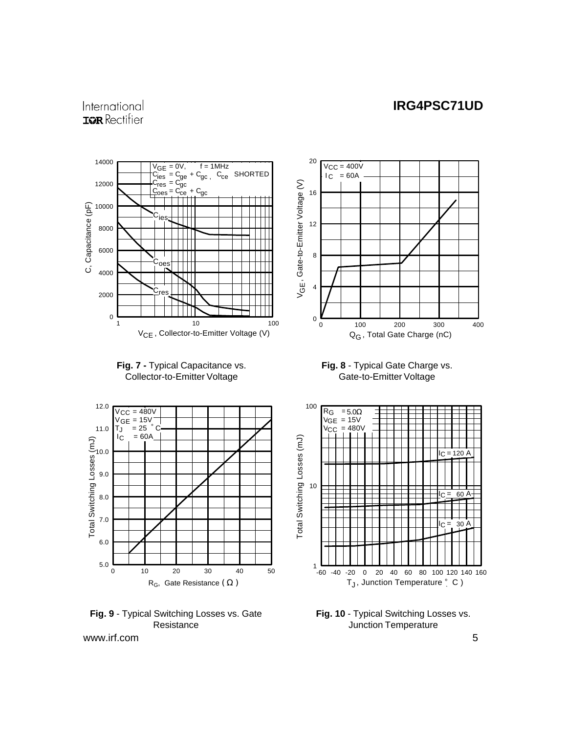#### International **IQR** Rectifier







**Fig. 9** - Typical Switching Losses vs. Gate **Resistance** 



**Fig. 8** - Typical Gate Charge vs. Gate-to-Emitter Voltage



**Fig. 10** - Typical Switching Losses vs. Junction Temperature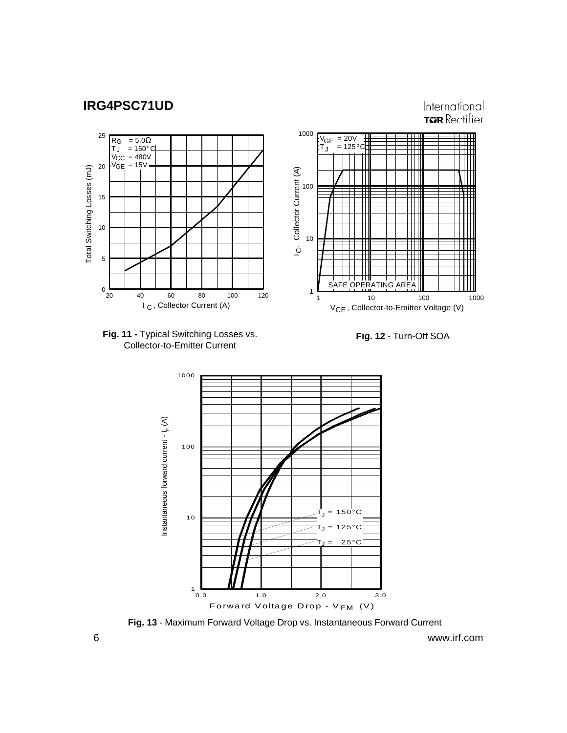International **TOR** Rectifier







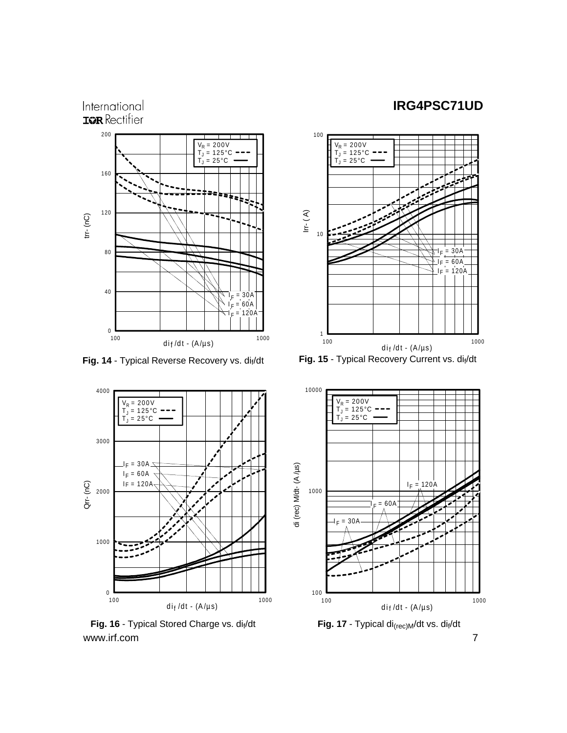



www.irf.com 7 Fig. 16 - Typical Stored Charge vs. dif/dt **Fig. 17** - Typical di<sub>(rec)M</sub>/dt vs. dif/dt



Fig. 14 - Typical Reverse Recovery vs. di<sub>f</sub>/dt Fig. 15 - Typical Recovery Current vs. dif/dt

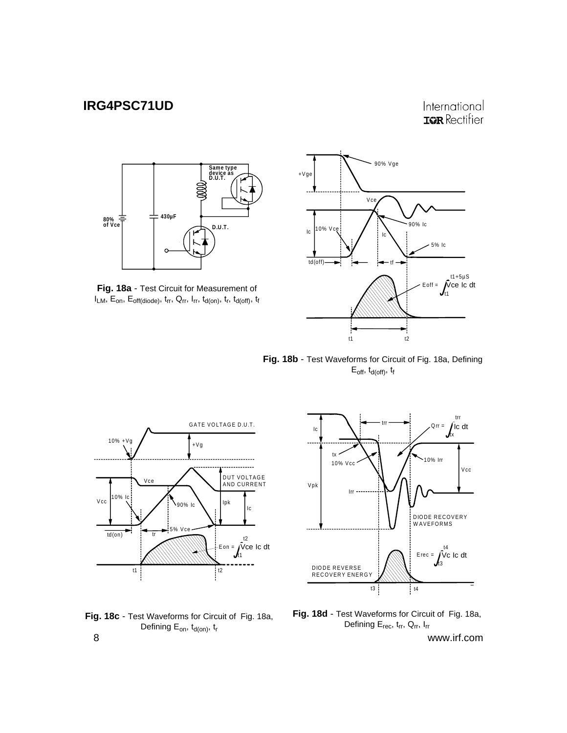#### International **IOR** Rectifier



**Fig. 18a** - Test Circuit for Measurement of  $I_{LM}$ ,  $E_{on}$ ,  $E_{off(diode)}$ ,  $t_{rr}$ ,  $Q_{rr}$ ,  $I_{rr}$ ,  $t_{d(on)}$ ,  $t_r$ ,  $t_{d(off)}$ ,  $t_f$ 



**Fig. 18b** - Test Waveforms for Circuit of Fig. 18a, Defining  $E_{off}$ ,  $t_{d(off)}$ ,  $t_f$ 







**Fig. 18d** - Test Waveforms for Circuit of Fig. 18a, Defining  $E_{rec}$ ,  $t_{rr}$ ,  $Q_{rr}$ ,  $I_{rr}$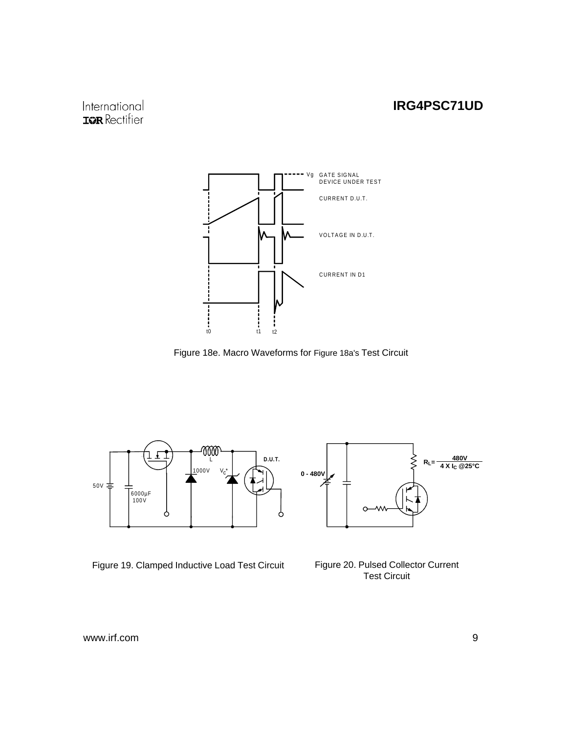## International **IQR** Rectifier



Figure 18e. Macro Waveforms for Figure 18a's Test Circuit



Figure 19. Clamped Inductive Load Test Circuit Figure 20. Pulsed Collector Current



Test Circuit